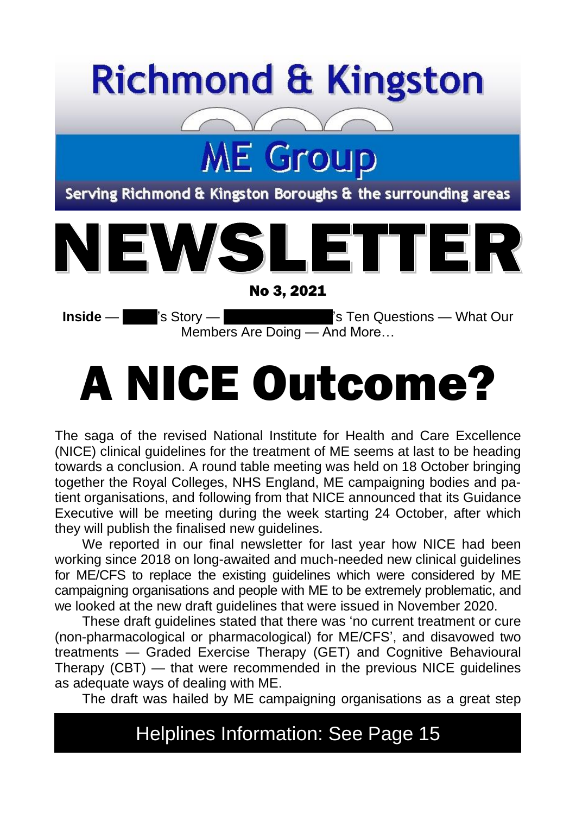

# A NICE Outcome?

The saga of the revised National Institute for Health and Care Excellence (NICE) clinical guidelines for the treatment of ME seems at last to be heading towards a conclusion. A round table meeting was held on 18 October bringing together the Royal Colleges, NHS England, ME campaigning bodies and patient organisations, and following from that NICE announced that its Guidance Executive will be meeting during the week starting 24 October, after which they will publish the finalised new guidelines.

We reported in our final newsletter for last year how NICE had been working since 2018 on long-awaited and much-needed new clinical guidelines for ME/CFS to replace the existing guidelines which were considered by ME campaigning organisations and people with ME to be extremely problematic, and we looked at the new draft guidelines that were issued in November 2020.

These draft guidelines stated that there was 'no current treatment or cure (non-pharmacological or pharmacological) for ME/CFS', and disavowed two treatments — Graded Exercise Therapy (GET) and Cognitive Behavioural Therapy (CBT) — that were recommended in the previous NICE guidelines as adequate ways of dealing with ME.

The draft was hailed by ME campaigning organisations as a great step

#### Helplines Information: See Page 15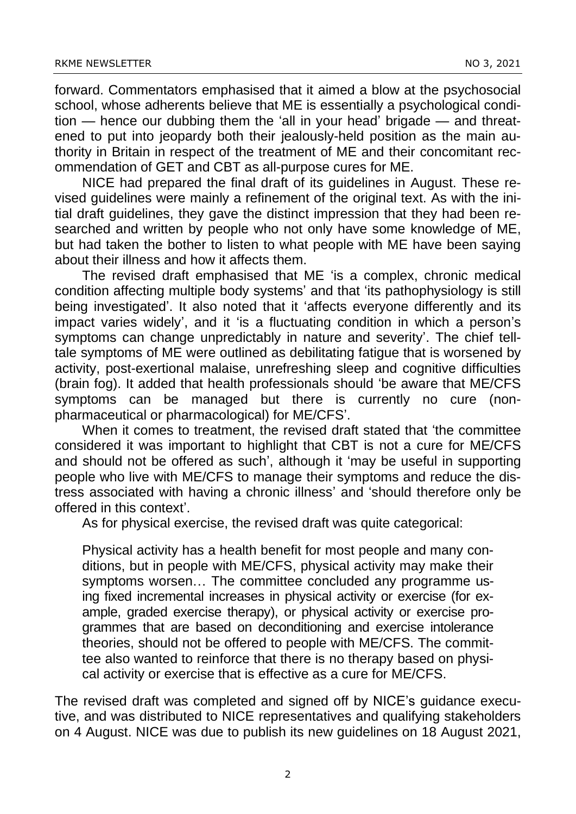forward. Commentators emphasised that it aimed a blow at the psychosocial school, whose adherents believe that ME is essentially a psychological condition — hence our dubbing them the 'all in your head' brigade — and threatened to put into jeopardy both their jealously-held position as the main authority in Britain in respect of the treatment of ME and their concomitant recommendation of GET and CBT as all-purpose cures for ME.

NICE had prepared the final draft of its guidelines in August. These revised guidelines were mainly a refinement of the original text. As with the initial draft guidelines, they gave the distinct impression that they had been researched and written by people who not only have some knowledge of ME, but had taken the bother to listen to what people with ME have been saying about their illness and how it affects them.

The revised draft emphasised that ME 'is a complex, chronic medical condition affecting multiple body systems' and that 'its pathophysiology is still being investigated'. It also noted that it 'affects everyone differently and its impact varies widely', and it 'is a fluctuating condition in which a person's symptoms can change unpredictably in nature and severity'. The chief telltale symptoms of ME were outlined as debilitating fatigue that is worsened by activity, post-exertional malaise, unrefreshing sleep and cognitive difficulties (brain fog). It added that health professionals should 'be aware that ME/CFS symptoms can be managed but there is currently no cure (nonpharmaceutical or pharmacological) for ME/CFS'.

When it comes to treatment, the revised draft stated that 'the committee considered it was important to highlight that CBT is not a cure for ME/CFS and should not be offered as such', although it 'may be useful in supporting people who live with ME/CFS to manage their symptoms and reduce the distress associated with having a chronic illness' and 'should therefore only be offered in this context'.

As for physical exercise, the revised draft was quite categorical:

Physical activity has a health benefit for most people and many conditions, but in people with ME/CFS, physical activity may make their symptoms worsen… The committee concluded any programme using fixed incremental increases in physical activity or exercise (for example, graded exercise therapy), or physical activity or exercise programmes that are based on deconditioning and exercise intolerance theories, should not be offered to people with ME/CFS. The committee also wanted to reinforce that there is no therapy based on physical activity or exercise that is effective as a cure for ME/CFS.

The revised draft was completed and signed off by NICE's guidance executive, and was distributed to NICE representatives and qualifying stakeholders on 4 August. NICE was due to publish its new guidelines on 18 August 2021,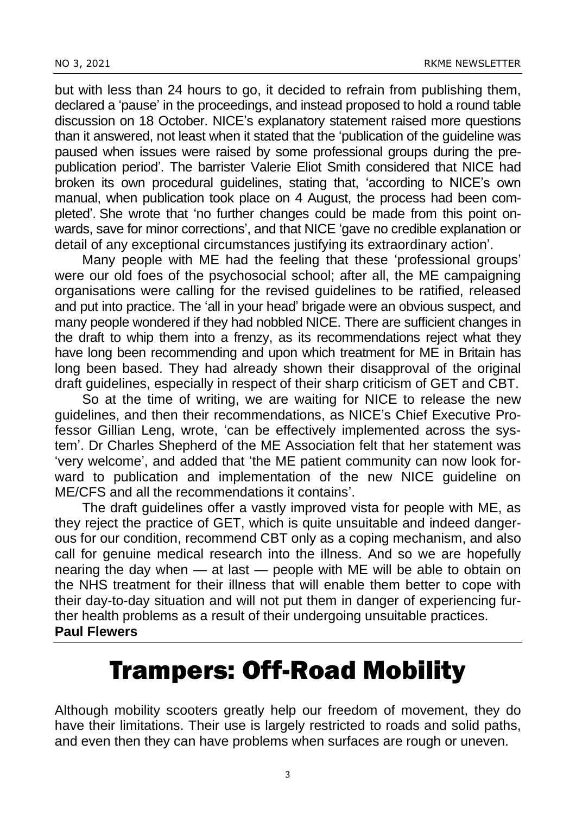but with less than 24 hours to go, it decided to refrain from publishing them, declared a 'pause' in the proceedings, and instead proposed to hold a round table discussion on 18 October. NICE's explanatory statement raised more questions than it answered, not least when it stated that the 'publication of the guideline was paused when issues were raised by some professional groups during the prepublication period'. The barrister Valerie Eliot Smith considered that NICE had broken its own procedural guidelines, stating that, 'according to NICE's own manual, when publication took place on 4 August, the process had been completed'. She wrote that 'no further changes could be made from this point onwards, save for minor corrections', and that NICE 'gave no credible explanation or detail of any exceptional circumstances justifying its extraordinary action'.

Many people with ME had the feeling that these 'professional groups' were our old foes of the psychosocial school; after all, the ME campaigning organisations were calling for the revised guidelines to be ratified, released and put into practice. The 'all in your head' brigade were an obvious suspect, and many people wondered if they had nobbled NICE. There are sufficient changes in the draft to whip them into a frenzy, as its recommendations reject what they have long been recommending and upon which treatment for ME in Britain has long been based. They had already shown their disapproval of the original draft guidelines, especially in respect of their sharp criticism of GET and CBT.

So at the time of writing, we are waiting for NICE to release the new guidelines, and then their recommendations, as NICE's Chief Executive Professor Gillian Leng, wrote, 'can be effectively implemented across the system'. Dr Charles Shepherd of the ME Association felt that her statement was 'very welcome', and added that 'the ME patient community can now look forward to publication and implementation of the new NICE guideline on ME/CFS and all the recommendations it contains'.

The draft guidelines offer a vastly improved vista for people with ME, as they reject the practice of GET, which is quite unsuitable and indeed dangerous for our condition, recommend CBT only as a coping mechanism, and also call for genuine medical research into the illness. And so we are hopefully nearing the day when — at last — people with ME will be able to obtain on the NHS treatment for their illness that will enable them better to cope with their day-to-day situation and will not put them in danger of experiencing further health problems as a result of their undergoing unsuitable practices. **Paul Flewers**

#### Trampers: Off-Road Mobility

Although mobility scooters greatly help our freedom of movement, they do have their limitations. Their use is largely restricted to roads and solid paths, and even then they can have problems when surfaces are rough or uneven.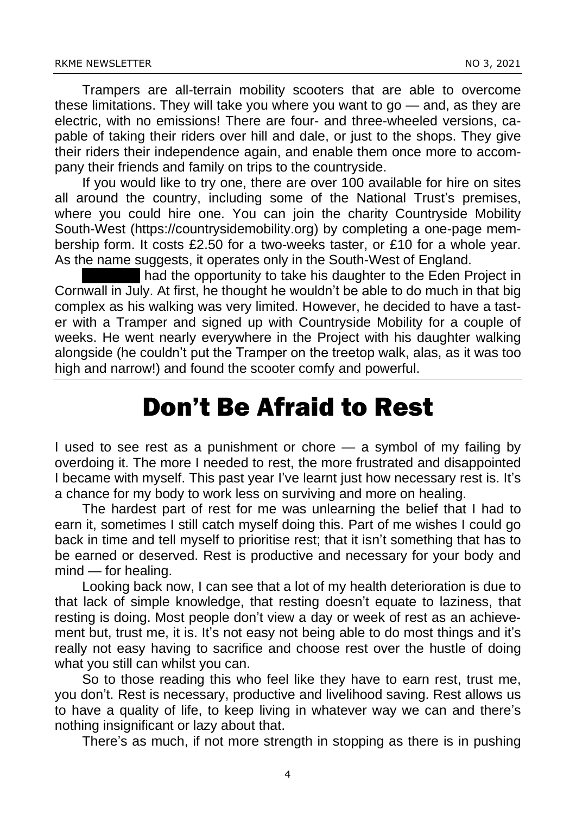Trampers are all-terrain mobility scooters that are able to overcome these limitations. They will take you where you want to go — and, as they are electric, with no emissions! There are four- and three-wheeled versions, capable of taking their riders over hill and dale, or just to the shops. They give their riders their independence again, and enable them once more to accompany their friends and family on trips to the countryside.

If you would like to try one, there are over 100 available for hire on sites all around the country, including some of the National Trust's premises, where you could hire one. You can join the charity Countryside Mobility South-West (https://countrysidemobility.org) by completing a one-page membership form. It costs £2.50 for a two-weeks taster, or £10 for a whole year. As the name suggests, it operates only in the South-West of England.

had the opportunity to take his daughter to the Eden Project in Cornwall in July. At first, he thought he wouldn't be able to do much in that big complex as his walking was very limited. However, he decided to have a taster with a Tramper and signed up with Countryside Mobility for a couple of weeks. He went nearly everywhere in the Project with his daughter walking alongside (he couldn't put the Tramper on the treetop walk, alas, as it was too high and narrow!) and found the scooter comfy and powerful.

# Don't Be Afraid to Rest

I used to see rest as a punishment or chore — a symbol of my failing by overdoing it. The more I needed to rest, the more frustrated and disappointed I became with myself. This past year I've learnt just how necessary rest is. It's a chance for my body to work less on surviving and more on healing.

The hardest part of rest for me was unlearning the belief that I had to earn it, sometimes I still catch myself doing this. Part of me wishes I could go back in time and tell myself to prioritise rest; that it isn't something that has to be earned or deserved. Rest is productive and necessary for your body and mind — for healing.

Looking back now, I can see that a lot of my health deterioration is due to that lack of simple knowledge, that resting doesn't equate to laziness, that resting is doing. Most people don't view a day or week of rest as an achievement but, trust me, it is. It's not easy not being able to do most things and it's really not easy having to sacrifice and choose rest over the hustle of doing what you still can whilst you can.

So to those reading this who feel like they have to earn rest, trust me, you don't. Rest is necessary, productive and livelihood saving. Rest allows us to have a quality of life, to keep living in whatever way we can and there's nothing insignificant or lazy about that.

There's as much, if not more strength in stopping as there is in pushing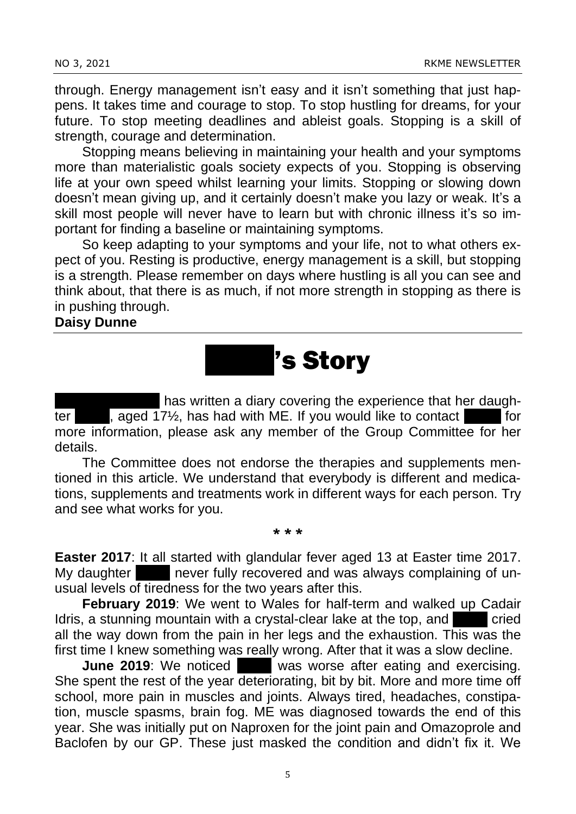through. Energy management isn't easy and it isn't something that just happens. It takes time and courage to stop. To stop hustling for dreams, for your future. To stop meeting deadlines and ableist goals. Stopping is a skill of strength, courage and determination.

Stopping means believing in maintaining your health and your symptoms more than materialistic goals society expects of you. Stopping is observing life at your own speed whilst learning your limits. Stopping or slowing down doesn't mean giving up, and it certainly doesn't make you lazy or weak. It's a skill most people will never have to learn but with chronic illness it's so important for finding a baseline or maintaining symptoms.

So keep adapting to your symptoms and your life, not to what others expect of you. Resting is productive, energy management is a skill, but stopping is a strength. Please remember on days where hustling is all you can see and think about, that there is as much, if not more strength in stopping as there is in pushing through.

#### **Daisy Dunne**

# **Engles**'s Story

I has written a diary covering the experience that her daughter  $\blacksquare$ , aged 17½, has had with ME. If you would like to contact  $\blacksquare$  for more information, please ask any member of the Group Committee for her details.

The Committee does not endorse the therapies and supplements mentioned in this article. We understand that everybody is different and medications, supplements and treatments work in different ways for each person. Try and see what works for you.

#### \* \* \*

**Easter 2017**: It all started with glandular fever aged 13 at Easter time 2017. My daughter **Estimate and recovered and was always complaining of un**usual levels of tiredness for the two years after this.

**February 2019**: We went to Wales for half-term and walked up Cadair Idris, a stunning mountain with a crystal-clear lake at the top, and  $\Box$  cried all the way down from the pain in her legs and the exhaustion. This was the first time I knew something was really wrong. After that it was a slow decline.

**June 2019**: We noticed **Entity was worse after eating and exercising.** She spent the rest of the year deteriorating, bit by bit. More and more time off school, more pain in muscles and joints. Always tired, headaches, constipation, muscle spasms, brain fog. ME was diagnosed towards the end of this year. She was initially put on Naproxen for the joint pain and Omazoprole and Baclofen by our GP. These just masked the condition and didn't fix it. We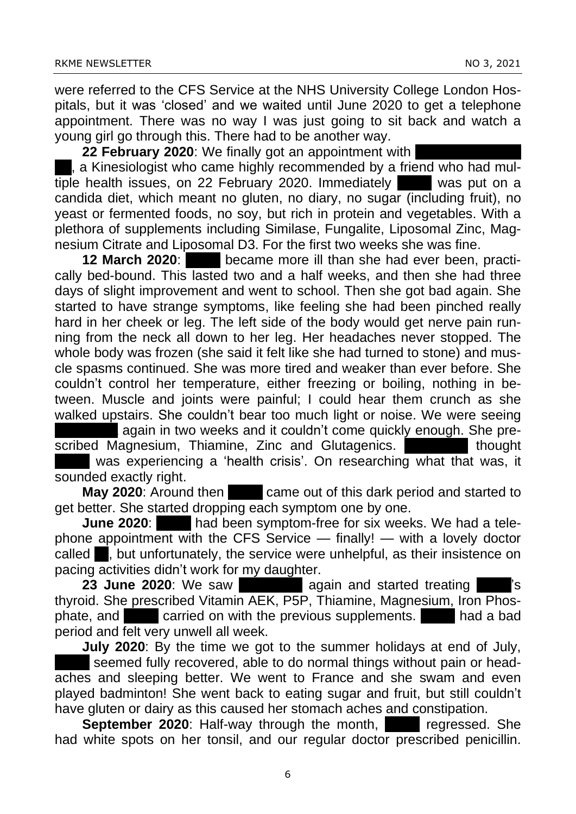were referred to the CFS Service at the NHS University College London Hospitals, but it was 'closed' and we waited until June 2020 to get a telephone appointment. There was no way I was just going to sit back and watch a young girl go through this. There had to be another way.

**22 February 2020:** We finally got an appointment with

, a Kinesiologist who came highly recommended by a friend who had multiple health issues, on 22 February 2020. Immediately was put on a candida diet, which meant no gluten, no diary, no sugar (including fruit), no yeast or fermented foods, no soy, but rich in protein and vegetables. With a plethora of supplements including Similase, Fungalite, Liposomal Zinc, Magnesium Citrate and Liposomal D3. For the first two weeks she was fine.

**12 March 2020:** Especame more ill than she had ever been, practically bed-bound. This lasted two and a half weeks, and then she had three days of slight improvement and went to school. Then she got bad again. She started to have strange symptoms, like feeling she had been pinched really hard in her cheek or leg. The left side of the body would get nerve pain running from the neck all down to her leg. Her headaches never stopped. The whole body was frozen (she said it felt like she had turned to stone) and muscle spasms continued. She was more tired and weaker than ever before. She couldn't control her temperature, either freezing or boiling, nothing in between. Muscle and joints were painful; I could hear them crunch as she walked upstairs. She couldn't bear too much light or noise. We were seeing again in two weeks and it couldn't come quickly enough. She prescribed Magnesium, Thiamine, Zinc and Glutagenics. was experiencing a 'health crisis'. On researching what that was, it sounded exactly right.

**May 2020:** Around then **Englesive came out of this dark period and started to** get better. She started dropping each symptom one by one.

**June 2020:** Especial had been symptom-free for six weeks. We had a telephone appointment with the CFS Service — finally! — with a lovely doctor called  $\blacksquare$ , but unfortunately, the service were unhelpful, as their insistence on pacing activities didn't work for my daughter.

**23 June 2020**: We saw Francesca again and started treating thyroid. She prescribed Vitamin AEK, P5P, Thiamine, Magnesium, Iron Phosphate, and **Estimate carried on with the previous supplements.** Thad a bad period and felt very unwell all week.

**July 2020**: By the time we got to the summer holidays at end of July, seemed fully recovered, able to do normal things without pain or headaches and sleeping better. We went to France and she swam and even played badminton! She went back to eating sugar and fruit, but still couldn't have gluten or dairy as this caused her stomach aches and constipation.

**September 2020:** Half-way through the month, **Esman regressed.** She had white spots on her tonsil, and our regular doctor prescribed penicillin.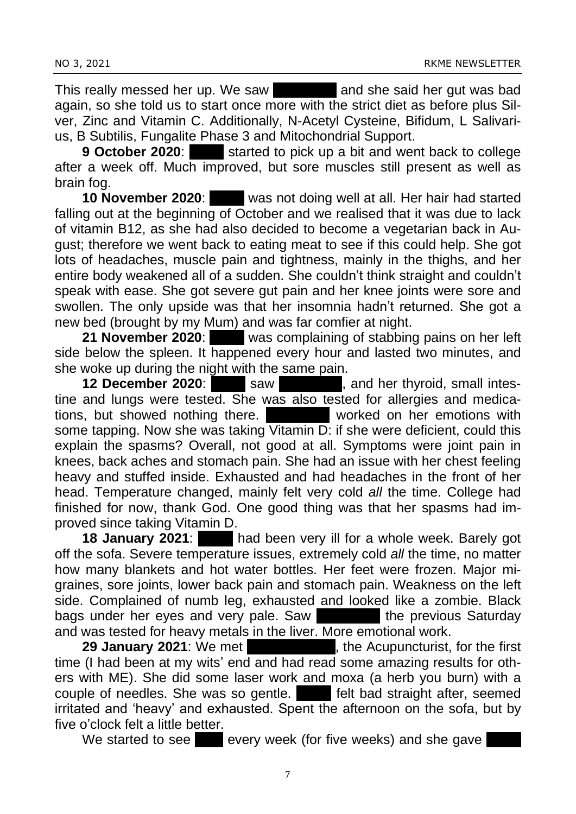This really messed her up. We saw Francesca and she said her gut was bad again, so she told us to start once more with the strict diet as before plus Silver, Zinc and Vitamin C. Additionally, N-Acetyl Cysteine, Bifidum, L Salivarius, B Subtilis, Fungalite Phase 3 and Mitochondrial Support.

**9 October 2020:** Estarted to pick up a bit and went back to college after a week off. Much improved, but sore muscles still present as well as brain fog.

**10 November 2020:** Was not doing well at all. Her hair had started falling out at the beginning of October and we realised that it was due to lack of vitamin B12, as she had also decided to become a vegetarian back in August; therefore we went back to eating meat to see if this could help. She got lots of headaches, muscle pain and tightness, mainly in the thighs, and her entire body weakened all of a sudden. She couldn't think straight and couldn't speak with ease. She got severe gut pain and her knee joints were sore and swollen. The only upside was that her insomnia hadn't returned. She got a new bed (brought by my Mum) and was far comfier at night.

**21 November 2020:** Was complaining of stabbing pains on her left side below the spleen. It happened every hour and lasted two minutes, and she woke up during the night with the same pain.

**12 December 2020:** Esaw Esman saw Francescale and her thyroid, small intestine and lungs were tested. She was also tested for allergies and medications, but showed nothing there. Frameworked on her emotions with some tapping. Now she was taking Vitamin D: if she were deficient, could this explain the spasms? Overall, not good at all. Symptoms were joint pain in knees, back aches and stomach pain. She had an issue with her chest feeling heavy and stuffed inside. Exhausted and had headaches in the front of her head. Temperature changed, mainly felt very cold *all* the time. College had finished for now, thank God. One good thing was that her spasms had improved since taking Vitamin D.

**18 January 2021:** Especial had been very ill for a whole week. Barely got off the sofa. Severe temperature issues, extremely cold *all* the time, no matter how many blankets and hot water bottles. Her feet were frozen. Major migraines, sore joints, lower back pain and stomach pain. Weakness on the left side. Complained of numb leg, exhausted and looked like a zombie. Black bags under her eyes and very pale. Saw Francesca the previous Saturday and was tested for heavy metals in the liver. More emotional work.

**29 January 2021:** We met Kate Kotlarska, the Acupuncturist, for the first time (I had been at my wits' end and had read some amazing results for others with ME). She did some laser work and moxa (a herb you burn) with a couple of needles. She was so gentle. **Example 1** felt bad straight after, seemed irritated and 'heavy' and exhausted. Spent the afternoon on the sofa, but by five o'clock felt a little better.

We started to see  $\blacksquare$  every week (for five weeks) and she gave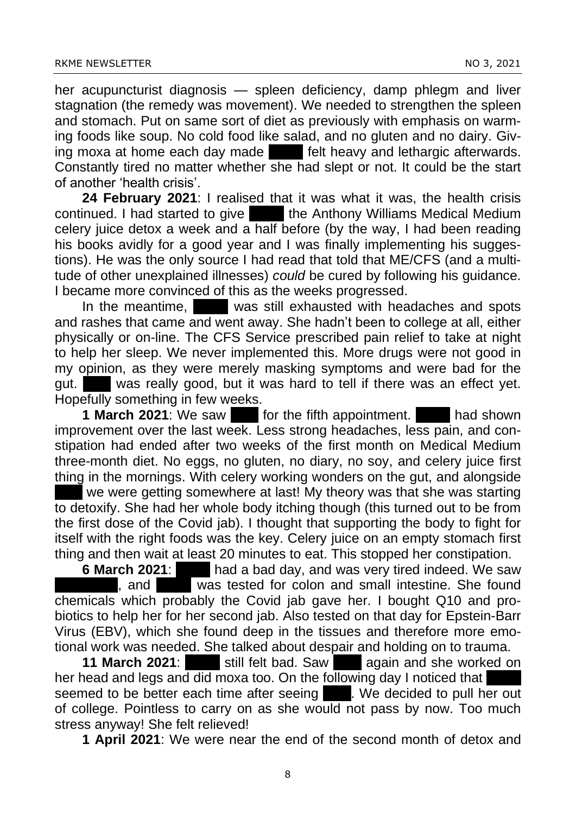her acupuncturist diagnosis — spleen deficiency, damp phlegm and liver stagnation (the remedy was movement). We needed to strengthen the spleen and stomach. Put on same sort of diet as previously with emphasis on warming foods like soup. No cold food like salad, and no gluten and no dairy. Giving moxa at home each day made **Especial felt heavy and lethargic afterwards.** Constantly tired no matter whether she had slept or not. It could be the start of another 'health crisis'.

**24 February 2021**: I realised that it was what it was, the health crisis continued. I had started to give **Esminimedial Medium** the Anthony Williams Medical Medium celery juice detox a week and a half before (by the way, I had been reading his books avidly for a good year and I was finally implementing his suggestions). He was the only source I had read that told that ME/CFS (and a multitude of other unexplained illnesses) *could* be cured by following his guidance. I became more convinced of this as the weeks progressed.

In the meantime, The was still exhausted with headaches and spots and rashes that came and went away. She hadn't been to college at all, either physically or on-line. The CFS Service prescribed pain relief to take at night to help her sleep. We never implemented this. More drugs were not good in my opinion, as they were merely masking symptoms and were bad for the gut. Was really good, but it was hard to tell if there was an effect yet. Hopefully something in few weeks.

**1 March 2021**: We saw for the fifth appointment. And shown improvement over the last week. Less strong headaches, less pain, and constipation had ended after two weeks of the first month on Medical Medium three-month diet. No eggs, no gluten, no diary, no soy, and celery juice first thing in the mornings. With celery working wonders on the gut, and alongside we were getting somewhere at last! My theory was that she was starting to detoxify. She had her whole body itching though (this turned out to be from the first dose of the Covid jab). I thought that supporting the body to fight for itself with the right foods was the key. Celery juice on an empty stomach first thing and then wait at least 20 minutes to eat. This stopped her constipation.

**6 March 2021:** had a bad day, and was very tired indeed. We saw , and **Edge** was tested for colon and small intestine. She found chemicals which probably the Covid jab gave her. I bought Q10 and probiotics to help her for her second jab. Also tested on that day for Epstein-Barr Virus (EBV), which she found deep in the tissues and therefore more emotional work was needed. She talked about despair and holding on to trauma.

**11 March 2021:** Estill felt bad. Saw **Ackground again and she worked on** her head and legs and did moxa too. On the following day I noticed that seemed to be better each time after seeing Kate. We decided to pull her out of college. Pointless to carry on as she would not pass by now. Too much stress anyway! She felt relieved!

**1 April 2021**: We were near the end of the second month of detox and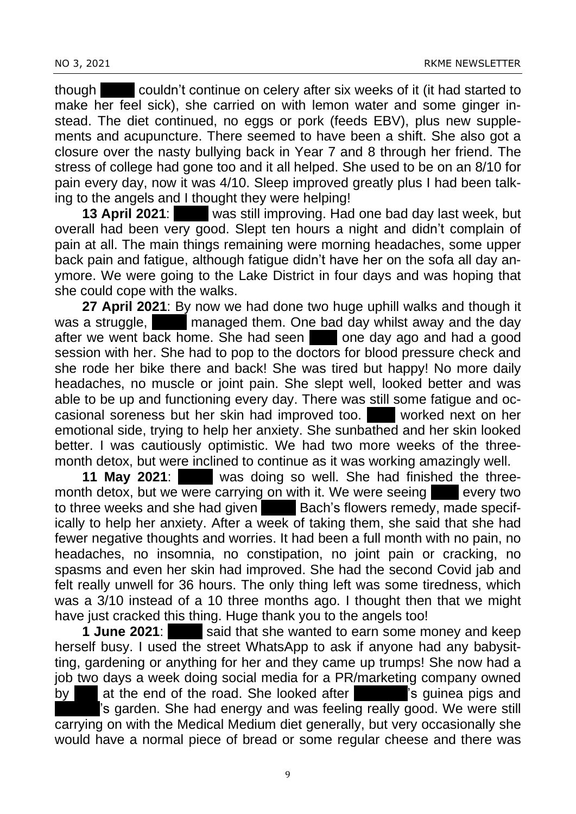though couldn't continue on celery after six weeks of it (it had started to make her feel sick), she carried on with lemon water and some ginger instead. The diet continued, no eggs or pork (feeds EBV), plus new supplements and acupuncture. There seemed to have been a shift. She also got a closure over the nasty bullying back in Year 7 and 8 through her friend. The stress of college had gone too and it all helped. She used to be on an 8/10 for pain every day, now it was 4/10. Sleep improved greatly plus I had been talking to the angels and I thought they were helping!

**13 April 2021:** Was still improving. Had one bad day last week, but overall had been very good. Slept ten hours a night and didn't complain of pain at all. The main things remaining were morning headaches, some upper back pain and fatigue, although fatigue didn't have her on the sofa all day anymore. We were going to the Lake District in four days and was hoping that she could cope with the walks.

**27 April 2021**: By now we had done two huge uphill walks and though it was a struggle, especial managed them. One bad day whilst away and the day after we went back home. She had seen one day ago and had a good session with her. She had to pop to the doctors for blood pressure check and she rode her bike there and back! She was tired but happy! No more daily headaches, no muscle or joint pain. She slept well, looked better and was able to be up and functioning every day. There was still some fatigue and occasional soreness but her skin had improved too. Worked next on her emotional side, trying to help her anxiety. She sunbathed and her skin looked better. I was cautiously optimistic. We had two more weeks of the threemonth detox, but were inclined to continue as it was working amazingly well.

**11 May 2021:** Was doing so well. She had finished the threemonth detox, but we were carrying on with it. We were seeing  $\blacksquare$  every two to three weeks and she had given **Bach's flowers remedy, made specif**ically to help her anxiety. After a week of taking them, she said that she had fewer negative thoughts and worries. It had been a full month with no pain, no headaches, no insomnia, no constipation, no joint pain or cracking, no spasms and even her skin had improved. She had the second Covid jab and felt really unwell for 36 hours. The only thing left was some tiredness, which was a 3/10 instead of a 10 three months ago. I thought then that we might have just cracked this thing. Huge thank you to the angels too!

**1 June 2021**: said that she wanted to earn some money and keep herself busy. I used the street WhatsApp to ask if anyone had any babysitting, gardening or anything for her and they came up trumps! She now had a job two days a week doing social media for a PR/marketing company owned by at the end of the road. She looked after Survey's guinea pigs and 's garden. She had energy and was feeling really good. We were still carrying on with the Medical Medium diet generally, but very occasionally she would have a normal piece of bread or some regular cheese and there was

9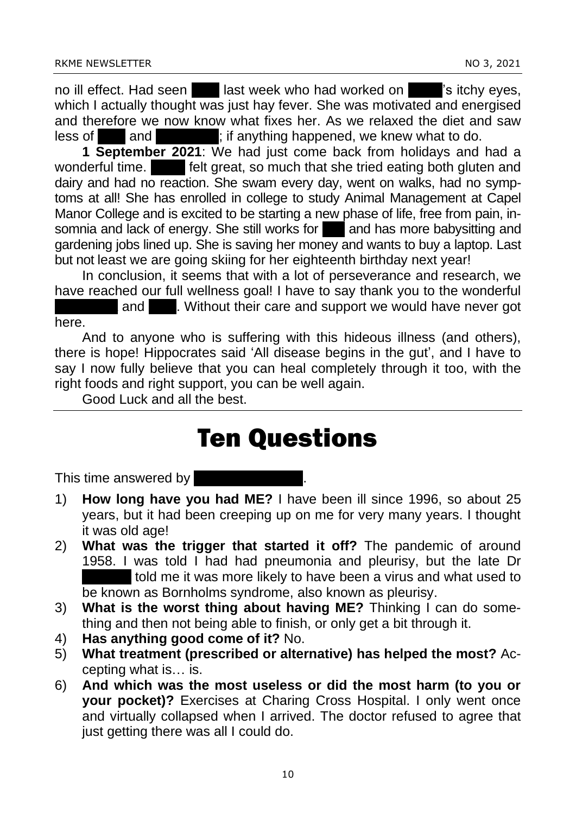no ill effect. Had seen I last week who had worked on Figs itchy eyes, which I actually thought was just hay fever. She was motivated and energised and therefore we now know what fixes her. As we relaxed the diet and saw  $\mathsf{less}$  of  $\blacksquare$  and  $\blacksquare$  if anything happened, we knew what to do.

**1 September 2021**: We had just come back from holidays and had a wonderful time. **Estimate felt great, so much that she tried eating both gluten and** dairy and had no reaction. She swam every day, went on walks, had no symptoms at all! She has enrolled in college to study Animal Management at Capel Manor College and is excited to be starting a new phase of life, free from pain, insomnia and lack of energy. She still works for **Zook and has more babysitting and** gardening jobs lined up. She is saving her money and wants to buy a laptop. Last but not least we are going skiing for her eighteenth birthday next year!

In conclusion, it seems that with a lot of perseverance and research, we have reached our full wellness goal! I have to say thank you to the wonderful and **France and Support we would have never got**. here.

And to anyone who is suffering with this hideous illness (and others), there is hope! Hippocrates said 'All disease begins in the gut', and I have to say I now fully believe that you can heal completely through it too, with the right foods and right support, you can be well again.

Good Luck and all the best.

#### Ten Questions

This time answered by

- 1) **How long have you had ME?** I have been ill since 1996, so about 25 years, but it had been creeping up on me for very many years. I thought it was old age!
- 2) **What was the trigger that started it off?** The pandemic of around 1958. I was told I had had pneumonia and pleurisy, but the late Dr told me it was more likely to have been a virus and what used to be known as Bornholms syndrome, also known as pleurisy.
- 3) **What is the worst thing about having ME?** Thinking I can do something and then not being able to finish, or only get a bit through it.
- 4) **Has anything good come of it?** No.
- 5) **What treatment (prescribed or alternative) has helped the most?** Accepting what is… is.
- 6) **And which was the most useless or did the most harm (to you or your pocket)?** Exercises at Charing Cross Hospital. I only went once and virtually collapsed when I arrived. The doctor refused to agree that just getting there was all I could do.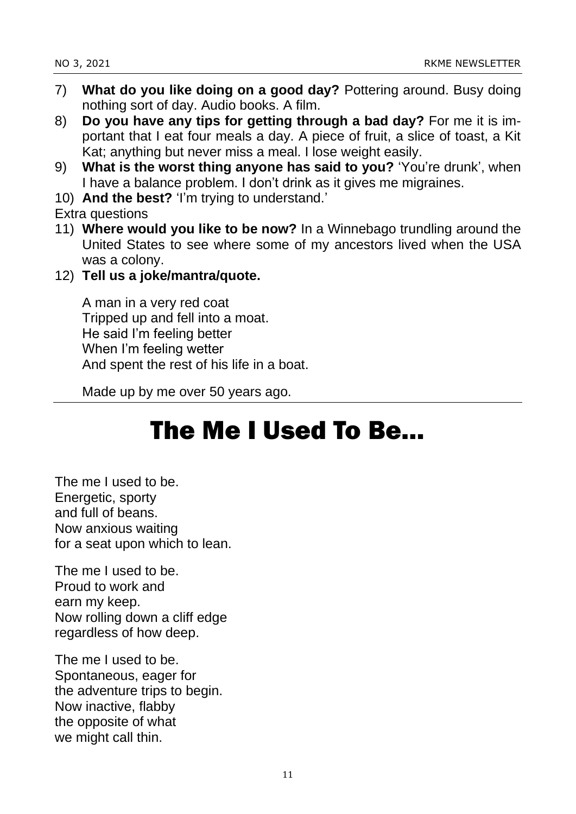- 7) **What do you like doing on a good day?** Pottering around. Busy doing nothing sort of day. Audio books. A film.
- 8) **Do you have any tips for getting through a bad day?** For me it is important that I eat four meals a day. A piece of fruit, a slice of toast, a Kit Kat; anything but never miss a meal. I lose weight easily.
- 9) **What is the worst thing anyone has said to you?** 'You're drunk', when I have a balance problem. I don't drink as it gives me migraines.
- 10) **And the best?** 'I'm trying to understand.'

Extra questions

- 11) **Where would you like to be now?** In a Winnebago trundling around the United States to see where some of my ancestors lived when the USA was a colony.
- 12) **Tell us a joke/mantra/quote.**

A man in a very red coat Tripped up and fell into a moat. He said I'm feeling better When I'm feeling wetter And spent the rest of his life in a boat.

Made up by me over 50 years ago.

# The Me I Used To Be…

The me I used to be. Energetic, sporty and full of beans. Now anxious waiting for a seat upon which to lean.

The me I used to be. Proud to work and earn my keep. Now rolling down a cliff edge regardless of how deep.

The me I used to be. Spontaneous, eager for the adventure trips to begin. Now inactive, flabby the opposite of what we might call thin.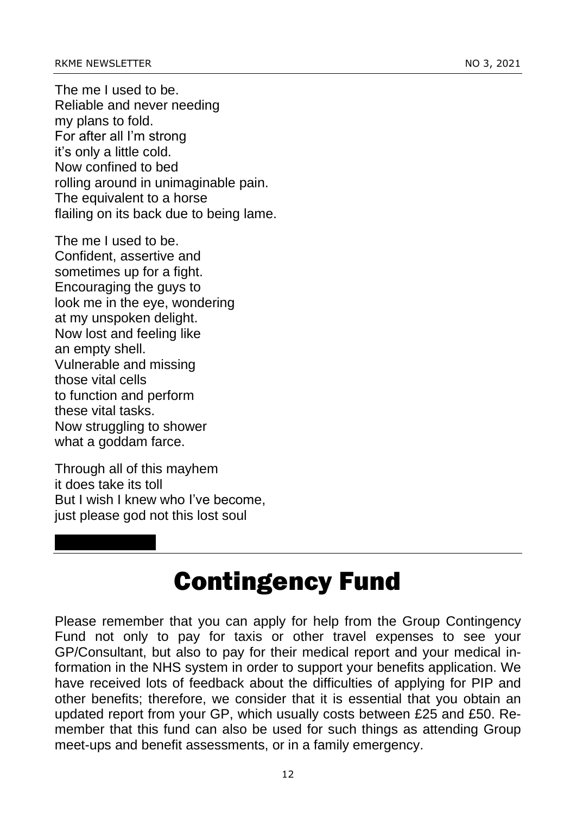The me I used to be. Reliable and never needing my plans to fold. For after all I'm strong it's only a little cold. Now confined to bed rolling around in unimaginable pain. The equivalent to a horse flailing on its back due to being lame.

The me I used to be. Confident, assertive and sometimes up for a fight. Encouraging the guys to look me in the eye, wondering at my unspoken delight. Now lost and feeling like an empty shell. Vulnerable and missing those vital cells to function and perform these vital tasks. Now struggling to shower what a goddam farce.

Through all of this mayhem it does take its toll But I wish I knew who I've become, just please god not this lost soul

#### Contingency Fund

Please remember that you can apply for help from the Group Contingency Fund not only to pay for taxis or other travel expenses to see your GP/Consultant, but also to pay for their medical report and your medical information in the NHS system in order to support your benefits application. We have received lots of feedback about the difficulties of applying for PIP and other benefits; therefore, we consider that it is essential that you obtain an updated report from your GP, which usually costs between £25 and £50. Remember that this fund can also be used for such things as attending Group meet-ups and benefit assessments, or in a family emergency.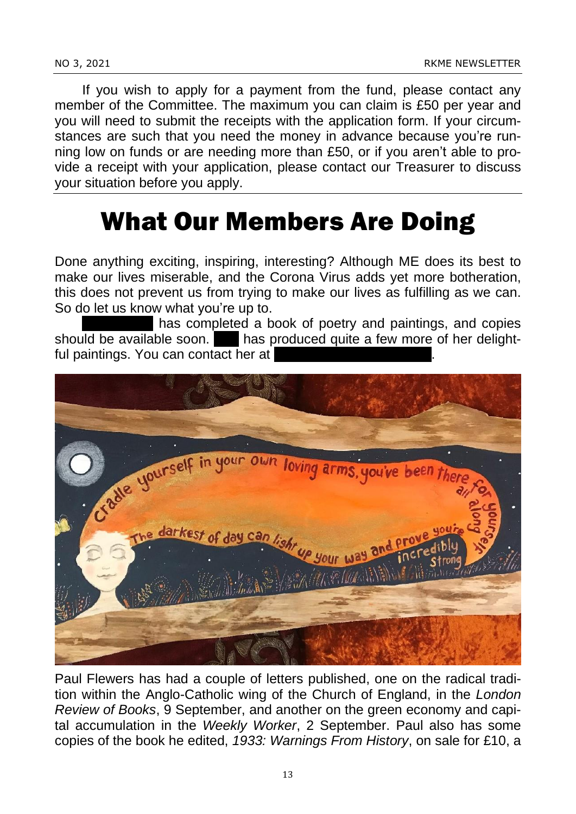If you wish to apply for a payment from the fund, please contact any member of the Committee. The maximum you can claim is £50 per year and you will need to submit the receipts with the application form. If your circumstances are such that you need the money in advance because you're running low on funds or are needing more than £50, or if you aren't able to provide a receipt with your application, please contact our Treasurer to discuss your situation before you apply.

# What Our Members Are Doing

Done anything exciting, inspiring, interesting? Although ME does its best to make our lives miserable, and the Corona Virus adds yet more botheration, this does not prevent us from trying to make our lives as fulfilling as we can. So do let us know what you're up to.

I has completed a book of poetry and paintings, and copies should be available soon. A has produced quite a few more of her delightful paintings. You can contact her at



Paul Flewers has had a couple of letters published, one on the radical tradition within the Anglo-Catholic wing of the Church of England, in the *London Review of Books*, 9 September, and another on the green economy and capital accumulation in the *Weekly Worker*, 2 September. Paul also has some copies of the book he edited, *1933: Warnings From History*, on sale for £10, a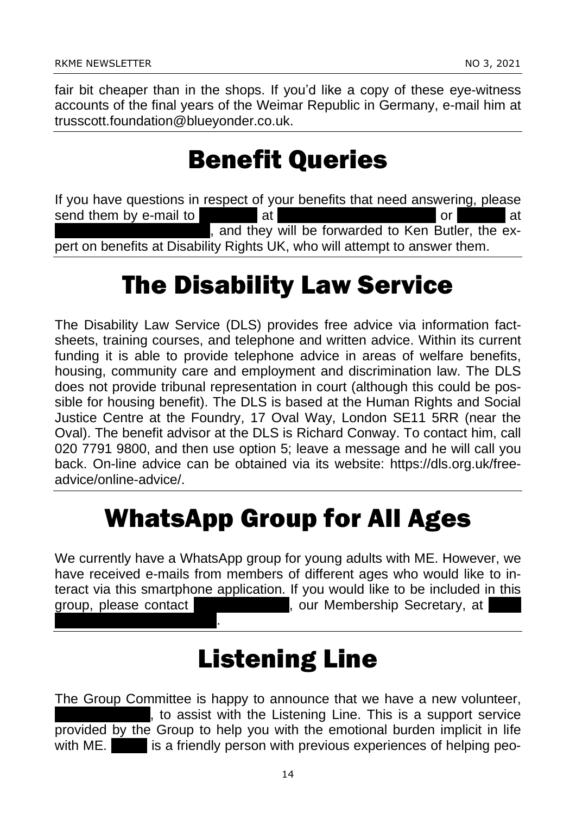fair bit cheaper than in the shops. If you'd like a copy of these eye-witness accounts of the final years of the Weimar Republic in Germany, e-mail him at trusscott.foundation@blueyonder.co.uk.

## Benefit Queries

If you have questions in respect of your benefits that need answering, please send them by e-mail to Fernando at Fernando at fermion at fermion at fermion at fermion at fermion at  $\frac{1}{2}$  at fermion at  $\frac{1}{2}$  at  $\frac{1}{2}$  at  $\frac{1}{2}$  at  $\frac{1}{2}$  at  $\frac{1}{2}$  at  $\frac{1}{2}$  at  $\frac{1}{2}$  at  $\frac{1$ and they will be forwarded to Ken Butler, the expert on benefits at Disability Rights UK, who will attempt to answer them.

# The Disability Law Service

The Disability Law Service (DLS) provides free advice via information factsheets, training courses, and telephone and written advice. Within its current funding it is able to provide telephone advice in areas of welfare benefits, housing, community care and employment and discrimination law. The DLS does not provide tribunal representation in court (although this could be possible for housing benefit). The DLS is based at the Human Rights and Social Justice Centre at the Foundry, 17 Oval Way, London SE11 5RR (near the Oval). The benefit advisor at the DLS is Richard Conway. To contact him, call 020 7791 9800, and then use option 5; leave a message and he will call you back. On-line advice can be obtained via its website: https://dls.org.uk/freeadvice/online-advice/.

# WhatsApp Group for All Ages

We currently have a WhatsApp group for young adults with ME. However, we have received e-mails from members of different ages who would like to interact via this smartphone application. If you would like to be included in this group, please contact Jenny Mummership Secretary, at jenny Mummership Secretary, at jenny at jenny mummership Secretary, at jenny mummership Secretary, at jenny mummership Secretary, at jenny mummership Secretary, at jenny mumford14@hotmail.co.uk.

# Listening Line

The Group Committee is happy to announce that we have a new volunteer, , to assist with the Listening Line. This is a support service provided by the Group to help you with the emotional burden implicit in life with ME.  $\blacksquare$  is a friendly person with previous experiences of helping peo-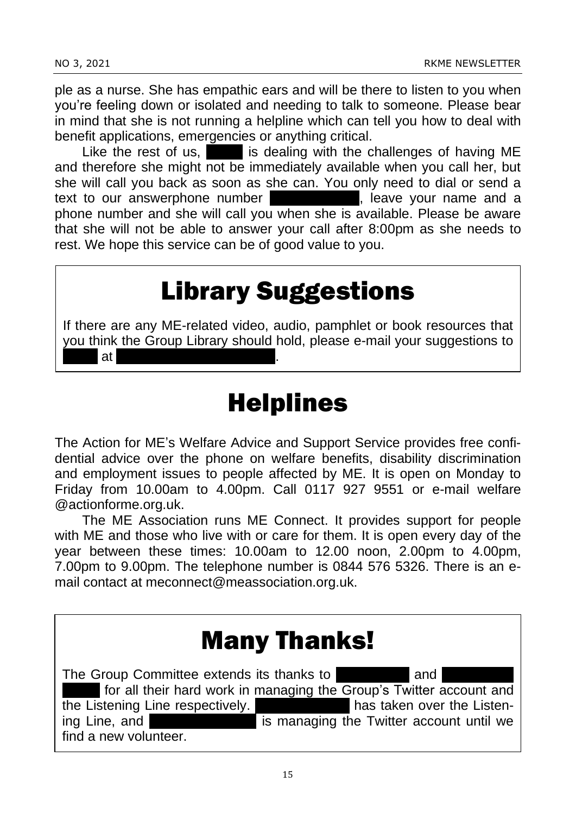ple as a nurse. She has empathic ears and will be there to listen to you when you're feeling down or isolated and needing to talk to someone. Please bear in mind that she is not running a helpline which can tell you how to deal with benefit applications, emergencies or anything critical.

Like the rest of us,  $\blacksquare$  is dealing with the challenges of having ME and therefore she might not be immediately available when you call her, but she will call you back as soon as she can. You only need to dial or send a text to our answerphone number **1998** 8603, leave your name and a phone number and she will call you when she is available. Please be aware that she will not be able to answer your call after 8:00pm as she needs to rest. We hope this service can be of good value to you.

## Library Suggestions

If there are any ME-related video, audio, pamphlet or book resources that you think the Group Library should hold, please e-mail your suggestions to Lauracousins7@gmail.com.com.com.com.com.com.com

# Helplines

The Action for ME's Welfare Advice and Support Service provides free confidential advice over the phone on welfare benefits, disability discrimination and employment issues to people affected by ME. It is open on Monday to Friday from 10.00am to 4.00pm. Call 0117 927 9551 or e-mail welfare @actionforme.org.uk.

The ME Association runs ME Connect. It provides support for people with ME and those who live with or care for them. It is open every day of the year between these times: 10.00am to 12.00 noon, 2.00pm to 4.00pm, 7.00pm to 9.00pm. The telephone number is 0844 576 5326. There is an email contact at meconnect@meassociation.org.uk.

| <b>Many Thanks!</b>                                                                                                                                                                                                                                                                 |  |  |  |
|-------------------------------------------------------------------------------------------------------------------------------------------------------------------------------------------------------------------------------------------------------------------------------------|--|--|--|
| The Group Committee extends its thanks to<br>  and  <br>for all their hard work in managing the Group's Twitter account and<br>has taken over the Listen-<br>the Listening Line respectively.<br>is managing the Twitter account until we<br>ing Line, and<br>find a new volunteer. |  |  |  |